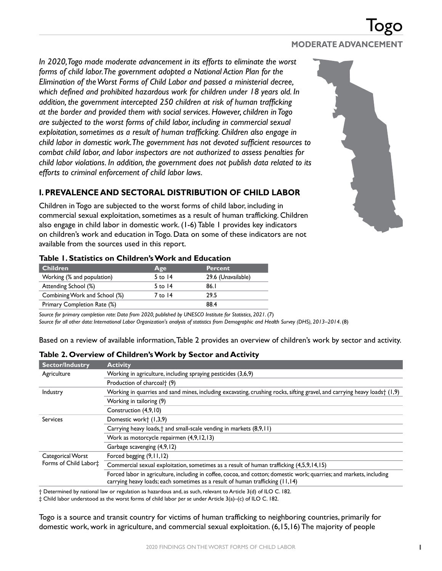## *In 2020, Togo made moderate advancement in its efforts to eliminate the worst forms of child labor. The government adopted a National Action Plan for the Elimination of the Worst Forms of Child Labor and passed a ministerial decree, which defined and prohibited hazardous work for children under 18 years old. In addition, the government intercepted 250 children at risk of human trafficking at the border and provided them with social services. However, children in Togo are subjected to the worst forms of child labor, including in commercial sexual exploitation, sometimes as a result of human trafficking. Children also engage in child labor in domestic work. The government has not devoted sufficient resources to combat child labor, and labor inspectors are not authorized to assess penalties for child labor violations. In addition, the government does not publish data related to its efforts to criminal enforcement of child labor laws.*

# **I. PREVALENCE AND SECTORAL DISTRIBUTION OF CHILD LABOR**

Children in Togo are subjected to the worst forms of child labor, including in commercial sexual exploitation, sometimes as a result of human trafficking. Children also engage in child labor in domestic work. (1-6) Table 1 provides key indicators on children's work and education in Togo. Data on some of these indicators are not available from the sources used in this report.

| <b>Children</b>               | Age       | <b>Percent</b>     |
|-------------------------------|-----------|--------------------|
| Working (% and population)    | $5$ to 14 | 29.6 (Unavailable) |
| Attending School (%)          | 5 to $14$ | 86.I               |
| Combining Work and School (%) | 7 to 14   | 29.5               |
| Primary Completion Rate (%)   |           | 88.4               |

### **Table 1. Statistics on Children's Work and Education**

*Source for primary completion rate: Data from 2020, published by UNESCO Institute for Statistics, 2021.* (7) *Source for all other data: International Labor Organization's analysis of statistics from Demographic and Health Survey (DHS), 2013–2014*. (8)

Based on a review of available information, Table 2 provides an overview of children's work by sector and activity.

#### **Sector/Industry Activity** Agriculture Working in agriculture, including spraying pesticides (3,6,9) Production of charcoal† (9) Industry Working in quarries and sand mines, including excavating, crushing rocks, sifting gravel, and carrying heavy loads† (1,9) Working in tailoring (9) Construction (4,9,10) Services Domestic work† (1,3,9) Carrying heavy loads,† and small-scale vending in markets (8,9,11) Work as motorcycle repairmen (4,9,12,13) Garbage scavenging (4,9,12) Categorical Worst Forms of Child Labor‡ Forced begging (9,11,12) Commercial sexual exploitation, sometimes as a result of human trafficking (4,5,9,14,15) Forced labor in agriculture, including in coffee, cocoa, and cotton; domestic work; quarries; and markets, including carrying heavy loads; each sometimes as a result of human trafficking (11,14)

## **Table 2. Overview of Children's Work by Sector and Activity**

† Determined by national law or regulation as hazardous and, as such, relevant to Article 3(d) of ILO C. 182.

‡ Child labor understood as the worst forms of child labor *per se* under Article 3(a)–(c) of ILO C. 182.

Togo is a source and transit country for victims of human trafficking to neighboring countries, primarily for domestic work, work in agriculture, and commercial sexual exploitation. (6,15,16) The majority of people

# **MODERATE ADVANCEMENT**

Togo

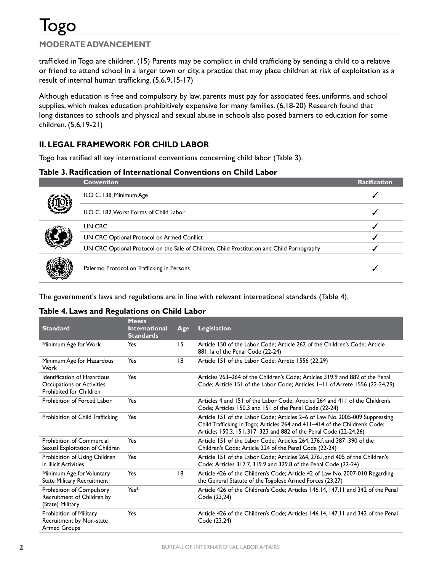

trafficked in Togo are children. (15) Parents may be complicit in child trafficking by sending a child to a relative or friend to attend school in a larger town or city, a practice that may place children at risk of exploitation as a result of internal human trafficking. (5,6,9,15-17)

Although education is free and compulsory by law, parents must pay for associated fees, uniforms, and school supplies, which makes education prohibitively expensive for many families. (6,18-20) Research found that long distances to schools and physical and sexual abuse in schools also posed barriers to education for some children. (5,6,19-21)

# **II. LEGAL FRAMEWORK FOR CHILD LABOR**

Togo has ratified all key international conventions concerning child labor (Table 3).

### **Table 3. Ratification of International Conventions on Child Labor**

| C<br>Ÿ3<br>U<br>L<br>u |
|------------------------|
|------------------------|

|  | <b>Convention</b>                                                                          | <b>Ratification</b> |
|--|--------------------------------------------------------------------------------------------|---------------------|
|  | ILO C. 138, Minimum Age                                                                    |                     |
|  | ILO C. 182, Worst Forms of Child Labor                                                     |                     |
|  | UN CRC                                                                                     |                     |
|  | UN CRC Optional Protocol on Armed Conflict                                                 |                     |
|  | UN CRC Optional Protocol on the Sale of Children, Child Prostitution and Child Pornography |                     |
|  | Palermo Protocol on Trafficking in Persons                                                 |                     |

The government's laws and regulations are in line with relevant international standards (Table 4).

### **Table 4. Laws and Regulations on Child Labor**

|                                                                                            | <b>Meets</b>                             |     |                                                                                                                                                                                                                                 |
|--------------------------------------------------------------------------------------------|------------------------------------------|-----|---------------------------------------------------------------------------------------------------------------------------------------------------------------------------------------------------------------------------------|
| <b>Standard</b>                                                                            | <b>International</b><br><b>Standards</b> | Age | Legislation                                                                                                                                                                                                                     |
| Minimum Age for Work                                                                       | Yes                                      | 15  | Article 150 of the Labor Code; Article 262 of the Children's Code; Article<br>881.1a of the Penal Code (22-24)                                                                                                                  |
| Minimum Age for Hazardous<br>Work                                                          | Yes                                      | 18  | Article 151 of the Labor Code; Arrete 1556 (22,29)                                                                                                                                                                              |
| <b>Identification of Hazardous</b><br>Occupations or Activities<br>Prohibited for Children | Yes                                      |     | Articles 263–264 of the Children's Code: Articles 319.9 and 882 of the Penal<br>Code; Article 151 of the Labor Code; Articles 1-11 of Arrete 1556 (22-24,29)                                                                    |
| Prohibition of Forced Labor                                                                | Yes                                      |     | Articles 4 and 151 of the Labor Code: Articles 264 and 411 of the Children's<br>Code; Articles 150.3 and 151 of the Penal Code (22-24)                                                                                          |
| Prohibition of Child Trafficking                                                           | Yes                                      |     | Article 151 of the Labor Code; Articles 2–6 of Law No. 2005-009 Suppressing<br>Child Trafficking in Togo; Articles 264 and 411-414 of the Children's Code;<br>Articles 150.3, 151, 317-323 and 882 of the Penal Code (22-24,26) |
| Prohibition of Commercial<br>Sexual Exploitation of Children                               | Yes                                      |     | Article 151 of the Labor Code; Articles 264, 276.f, and 387-390 of the<br>Children's Code; Article 224 of the Penal Code (22-24)                                                                                                |
| Prohibition of Using Children<br>in Illicit Activities                                     | Yes                                      |     | Article 151 of the Labor Code; Articles 264, 276.i, and 405 of the Children's<br>Code; Articles 317.7, 319.9 and 329.8 of the Penal Code (22-24)                                                                                |
| Minimum Age for Voluntary<br><b>State Military Recruitment</b>                             | Yes                                      | 18  | Article 426 of the Children's Code; Article 42 of Law No. 2007-010 Regarding<br>the General Statute of the Togolese Armed Forces (23,27)                                                                                        |
| Prohibition of Compulsory<br>Recruitment of Children by<br>(State) Military                | Yes*                                     |     | Article 426 of the Children's Code; Articles 146.14, 147.11 and 342 of the Penal<br>Code (23,24)                                                                                                                                |
| Prohibition of Military<br>Recruitment by Non-state<br><b>Armed Groups</b>                 | Yes                                      |     | Article 426 of the Children's Code: Articles 146.14, 147.11 and 342 of the Penal<br>Code (23,24)                                                                                                                                |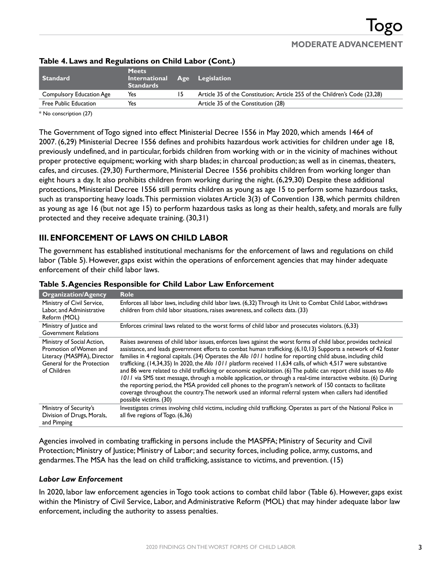| <b>Standard</b>                 | <b>Meets</b><br>International Age Legislation<br><b>Standards</b> |    |                                                                            |
|---------------------------------|-------------------------------------------------------------------|----|----------------------------------------------------------------------------|
| <b>Compulsory Education Age</b> | Yes                                                               | 15 | Article 35 of the Constitution; Article 255 of the Children's Code (23,28) |
| <b>Free Public Education</b>    | Yes                                                               |    | Article 35 of the Constitution (28)                                        |
|                                 |                                                                   |    |                                                                            |

## **Table 4. Laws and Regulations on Child Labor (Cont.)**

\* No conscription (27)

The Government of Togo signed into effect Ministerial Decree 1556 in May 2020, which amends 1464 of 2007. (6,29) Ministerial Decree 1556 defines and prohibits hazardous work activities for children under age 18, previously undefined, and in particular, forbids children from working with or in the vicinity of machines without proper protective equipment; working with sharp blades; in charcoal production; as well as in cinemas, theaters, cafes, and circuses. (29,30) Furthermore, Ministerial Decree 1556 prohibits children from working longer than eight hours a day. It also prohibits children from working during the night. (6,29,30) Despite these additional protections, Ministerial Decree 1556 still permits children as young as age 15 to perform some hazardous tasks, such as transporting heavy loads. This permission violates Article 3(3) of Convention 138, which permits children as young as age 16 (but not age 15) to perform hazardous tasks as long as their health, safety, and morals are fully protected and they receive adequate training. (30,31)

## **III. ENFORCEMENT OF LAWS ON CHILD LABOR**

The government has established institutional mechanisms for the enforcement of laws and regulations on child labor (Table 5). However, gaps exist within the operations of enforcement agencies that may hinder adequate enforcement of their child labor laws.

| <b>Organization/Agency</b>                                                                                                       | <b>Role</b>                                                                                                                                                                                                                                                                                                                                                                                                                                                                                                                                                                                                                                                                                                                                                                                                                                                                                                                                                          |
|----------------------------------------------------------------------------------------------------------------------------------|----------------------------------------------------------------------------------------------------------------------------------------------------------------------------------------------------------------------------------------------------------------------------------------------------------------------------------------------------------------------------------------------------------------------------------------------------------------------------------------------------------------------------------------------------------------------------------------------------------------------------------------------------------------------------------------------------------------------------------------------------------------------------------------------------------------------------------------------------------------------------------------------------------------------------------------------------------------------|
| Ministry of Civil Service,<br>Labor, and Administrative<br>Reform (MOL)                                                          | Enforces all labor laws, including child labor laws. (6,32) Through its Unit to Combat Child Labor, withdraws<br>children from child labor situations, raises awareness, and collects data. (33)                                                                                                                                                                                                                                                                                                                                                                                                                                                                                                                                                                                                                                                                                                                                                                     |
| Ministry of Justice and<br><b>Government Relations</b>                                                                           | Enforces criminal laws related to the worst forms of child labor and prosecutes violators. (6,33)                                                                                                                                                                                                                                                                                                                                                                                                                                                                                                                                                                                                                                                                                                                                                                                                                                                                    |
| Ministry of Social Action,<br>Promotion of Women and<br>Literacy (MASPFA), Director<br>General for the Protection<br>of Children | Raises awareness of child labor issues, enforces laws against the worst forms of child labor, provides technical<br>assistance, and leads government efforts to combat human trafficking. (6,10,13) Supports a network of 42 foster<br>families in 4 regional capitals. (34) Operates the Allo 1011 hotline for reporting child abuse, including child<br>trafficking. (14,34,35) In 2020, the Allo 1011 platform received 11,634 calls, of which 4,517 were substantive<br>and 86 were related to child trafficking or economic exploitation. (6) The public can report child issues to Allo<br>1011 via SMS text message, through a mobile application, or through a real-time interactive website. (6) During<br>the reporting period, the MSA provided cell phones to the program's network of 150 contacts to facilitate<br>coverage throughout the country. The network used an informal referral system when callers had identified<br>possible victims. (30) |
| Ministry of Security's<br>Division of Drugs, Morals,<br>and Pimping                                                              | Investigates crimes involving child victims, including child trafficking. Operates as part of the National Police in<br>all five regions of Togo. (6,36)                                                                                                                                                                                                                                                                                                                                                                                                                                                                                                                                                                                                                                                                                                                                                                                                             |

### **Table 5. Agencies Responsible for Child Labor Law Enforcement**

Agencies involved in combating trafficking in persons include the MASPFA; Ministry of Security and Civil Protection; Ministry of Justice; Ministry of Labor; and security forces, including police, army, customs, and gendarmes. The MSA has the lead on child trafficking, assistance to victims, and prevention. (15)

### *Labor Law Enforcement*

In 2020, labor law enforcement agencies in Togo took actions to combat child labor (Table 6). However, gaps exist within the Ministry of Civil Service, Labor, and Administrative Reform (MOL) that may hinder adequate labor law enforcement, including the authority to assess penalties.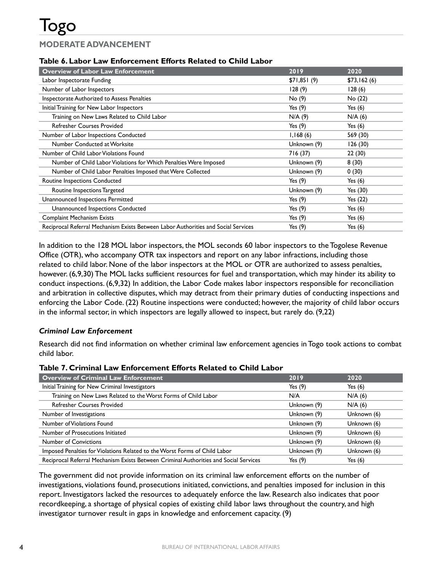### **Table 6. Labor Law Enforcement Efforts Related to Child Labor**

| <b>Overview of Labor Law Enforcement</b>                                           | 2019        | 2020        |
|------------------------------------------------------------------------------------|-------------|-------------|
| Labor Inspectorate Funding                                                         | \$71,851(9) | \$73,162(6) |
| Number of Labor Inspectors                                                         | 128(9)      | 128(6)      |
| Inspectorate Authorized to Assess Penalties                                        | No (9)      | No (22)     |
| Initial Training for New Labor Inspectors                                          | Yes $(9)$   | Yes $(6)$   |
| Training on New Laws Related to Child Labor                                        | N/A(9)      | N/A(6)      |
| <b>Refresher Courses Provided</b>                                                  | Yes $(9)$   | Yes $(6)$   |
| Number of Labor Inspections Conducted                                              | 1,168(6)    | 569 (30)    |
| Number Conducted at Worksite                                                       | Unknown (9) | 126(30)     |
| Number of Child Labor Violations Found                                             | 716 (37)    | 22 (30)     |
| Number of Child Labor Violations for Which Penalties Were Imposed                  | Unknown (9) | 8(30)       |
| Number of Child Labor Penalties Imposed that Were Collected                        | Unknown (9) | 0(30)       |
| Routine Inspections Conducted                                                      | Yes $(9)$   | Yes $(6)$   |
| Routine Inspections Targeted                                                       | Unknown (9) | Yes (30)    |
| Unannounced Inspections Permitted                                                  | Yes $(9)$   | Yes $(22)$  |
| Unannounced Inspections Conducted                                                  | Yes $(9)$   | Yes $(6)$   |
| <b>Complaint Mechanism Exists</b>                                                  | Yes $(9)$   | Yes $(6)$   |
| Reciprocal Referral Mechanism Exists Between Labor Authorities and Social Services | Yes $(9)$   | Yes $(6)$   |

In addition to the 128 MOL labor inspectors, the MOL seconds 60 labor inspectors to the Togolese Revenue Office (OTR), who accompany OTR tax inspectors and report on any labor infractions, including those related to child labor. None of the labor inspectors at the MOL or OTR are authorized to assess penalties, however. (6,9,30) The MOL lacks sufficient resources for fuel and transportation, which may hinder its ability to conduct inspections. (6,9,32) In addition, the Labor Code makes labor inspectors responsible for reconciliation and arbitration in collective disputes, which may detract from their primary duties of conducting inspections and enforcing the Labor Code. (22) Routine inspections were conducted; however, the majority of child labor occurs in the informal sector, in which inspectors are legally allowed to inspect, but rarely do. (9,22)

### *Criminal Law Enforcement*

Research did not find information on whether criminal law enforcement agencies in Togo took actions to combat child labor.

#### **Table 7. Criminal Law Enforcement Efforts Related to Child Labor**

| <b>Overview of Criminal Law Enforcement</b>                                           | 2019        | 2020        |
|---------------------------------------------------------------------------------------|-------------|-------------|
| Initial Training for New Criminal Investigators                                       | Yes $(9)$   | Yes $(6)$   |
| Training on New Laws Related to the Worst Forms of Child Labor                        | N/A         | N/A(6)      |
| <b>Refresher Courses Provided</b>                                                     | Unknown (9) | N/A (6)     |
| Number of Investigations                                                              | Unknown (9) | Unknown (6) |
| Number of Violations Found                                                            | Unknown (9) | Unknown (6) |
| Number of Prosecutions Initiated                                                      | Unknown (9) | Unknown (6) |
| <b>Number of Convictions</b>                                                          | Unknown (9) | Unknown (6) |
| Imposed Penalties for Violations Related to the Worst Forms of Child Labor            | Unknown (9) | Unknown (6) |
| Reciprocal Referral Mechanism Exists Between Criminal Authorities and Social Services | Yes $(9)$   | Yes $(6)$   |

The government did not provide information on its criminal law enforcement efforts on the number of investigations, violations found, prosecutions initiated, convictions, and penalties imposed for inclusion in this report. Investigators lacked the resources to adequately enforce the law. Research also indicates that poor recordkeeping, a shortage of physical copies of existing child labor laws throughout the country, and high investigator turnover result in gaps in knowledge and enforcement capacity. (9)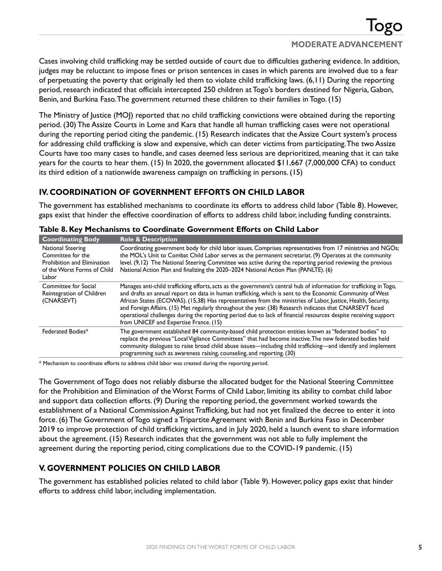Cases involving child trafficking may be settled outside of court due to difficulties gathering evidence. In addition, judges may be reluctant to impose fines or prison sentences in cases in which parents are involved due to a fear of perpetuating the poverty that originally led them to violate child trafficking laws. (6,11) During the reporting period, research indicated that officials intercepted 250 children at Togo's borders destined for Nigeria, Gabon, Benin, and Burkina Faso. The government returned these children to their families in Togo. (15)

The Ministry of Justice (MOJ) reported that no child trafficking convictions were obtained during the reporting period. (30) The Assize Courts in Lome and Kara that handle all human trafficking cases were not operational during the reporting period citing the pandemic. (15) Research indicates that the Assize Court system's process for addressing child trafficking is slow and expensive, which can deter victims from participating. The two Assize Courts have too many cases to handle, and cases deemed less serious are deprioritized, meaning that it can take years for the courts to hear them. (15) In 2020, the government allocated \$11,667 (7,000,000 CFA) to conduct its third edition of a nationwide awareness campaign on trafficking in persons. (15)

# **IV. COORDINATION OF GOVERNMENT EFFORTS ON CHILD LABOR**

The government has established mechanisms to coordinate its efforts to address child labor (Table 8). However, gaps exist that hinder the effective coordination of efforts to address child labor, including funding constraints.

| <b>Coordinating Body</b>                                                                                      | <b>Role &amp; Description</b>                                                                                                                                                                                                                                                                                                                                                                                                                                                                                                                                                                                               |
|---------------------------------------------------------------------------------------------------------------|-----------------------------------------------------------------------------------------------------------------------------------------------------------------------------------------------------------------------------------------------------------------------------------------------------------------------------------------------------------------------------------------------------------------------------------------------------------------------------------------------------------------------------------------------------------------------------------------------------------------------------|
| National Steering<br>Committee for the<br>Prohibition and Elimination<br>of the Worst Forms of Child<br>Labor | Coordinating government body for child labor issues. Comprises representatives from 17 ministries and NGOs;<br>the MOL's Unit to Combat Child Labor serves as the permanent secretariat. (9) Operates at the community<br>level. (9,12) The National Steering Committee was active during the reporting period reviewing the previous<br>National Action Plan and finalizing the 2020–2024 National Action Plan (PANLTE). (6)                                                                                                                                                                                               |
| Committee for Social<br>Reintegration of Children<br>(CNARSEVT)                                               | Manages anti-child trafficking efforts, acts as the government's central hub of information for trafficking in Togo,<br>and drafts an annual report on data in human trafficking, which is sent to the Economic Community of West<br>African States (ECOWAS). (15,38) Has representatives from the ministries of Labor, Justice, Health, Security,<br>and Foreign Affairs. (15) Met regularly throughout the year. (38) Research indicates that CNARSEVT faced<br>operational challenges during the reporting period due to lack of financial resources despite receiving support<br>from UNICEF and Expertise France. (15) |
| Federated Bodies*                                                                                             | The government established 84 community-based child protection entities known as "federated bodies" to<br>replace the previous "Local Vigilance Committees" that had become inactive. The new federated bodies held<br>community dialogues to raise broad child abuse issues—including child trafficking—and identify and implement<br>programming such as awareness raising, counseling, and reporting. (30)                                                                                                                                                                                                               |

### **Table 8. Key Mechanisms to Coordinate Government Efforts on Child Labor**

\* Mechanism to coordinate efforts to address child labor was created during the reporting period.

The Government of Togo does not reliably disburse the allocated budget for the National Steering Committee for the Prohibition and Elimination of the Worst Forms of Child Labor, limiting its ability to combat child labor and support data collection efforts. (9) During the reporting period, the government worked towards the establishment of a National Commission Against Trafficking, but had not yet finalized the decree to enter it into force. (6) The Government of Togo signed a Tripartite Agreement with Benin and Burkina Faso in December 2019 to improve protection of child trafficking victims, and in July 2020, held a launch event to share information about the agreement. (15) Research indicates that the government was not able to fully implement the agreement during the reporting period, citing complications due to the COVID-19 pandemic. (15)

## **V. GOVERNMENT POLICIES ON CHILD LABOR**

The government has established policies related to child labor (Table 9). However, policy gaps exist that hinder efforts to address child labor, including implementation.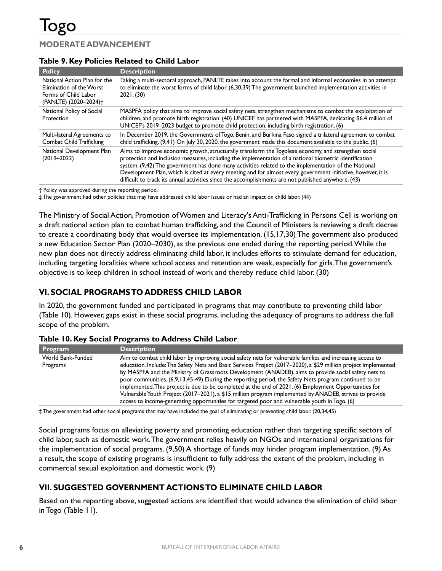### **Table 9. Key Policies Related to Child Labor**

| <b>Policy</b>                                                                                                         | <b>Description</b>                                                                                                                                                                                                                                                                                                                                                                                                                                                                                                                           |
|-----------------------------------------------------------------------------------------------------------------------|----------------------------------------------------------------------------------------------------------------------------------------------------------------------------------------------------------------------------------------------------------------------------------------------------------------------------------------------------------------------------------------------------------------------------------------------------------------------------------------------------------------------------------------------|
| National Action Plan for the<br>Elimination of the Worst<br>Forms of Child Labor<br>(PANLTE) (2020-2024) <sup>+</sup> | Taking a multi-sectoral approach, PANLTE takes into account the formal and informal economies in an attempt<br>to eliminate the worst forms of child labor. (6,30,39) The government launched implementation activities in<br>2021. (30)                                                                                                                                                                                                                                                                                                     |
| National Policy of Social<br>Protection                                                                               | MASPFA policy that aims to improve social safety nets, strengthen mechanisms to combat the exploitation of<br>children, and promote birth registration. (40) UNICEF has partnered with MASPFA, dedicating \$6.4 million of<br>UNICEF's 2019-2023 budget to promote child protection, including birth registration. (6)                                                                                                                                                                                                                       |
| Multi-lateral Agreements to<br>Combat Child Trafficking                                                               | In December 2019, the Governments of Togo, Benin, and Burkina Faso signed a trilateral agreement to combat<br>child trafficking. (9,41) On July 30, 2020, the government made this document available to the public. (6)                                                                                                                                                                                                                                                                                                                     |
| National Development Plan<br>$(2019 - 2022)$                                                                          | Aims to improve economic growth, structurally transform the Togolese economy, and strengthen social<br>protection and inclusion measures, including the implementation of a national biometric identification<br>system. (9,42) The government has done many activities related to the implementation of the National<br>Development Plan, which is cited at every meeting and for almost every government initiative, however, it is<br>difficult to track its annual activities since the accomplishments are not published anywhere. (43) |

† Policy was approved during the reporting period.

‡ The government had other policies that may have addressed child labor issues or had an impact on child labor. (44)

The Ministry of Social Action, Promotion of Women and Literacy's Anti-Trafficking in Persons Cell is working on a draft national action plan to combat human trafficking, and the Council of Ministers is reviewing a draft decree to create a coordinating body that would oversee its implementation. (15,17,30) The government also produced a new Education Sector Plan (2020–2030), as the previous one ended during the reporting period. While the new plan does not directly address eliminating child labor, it includes efforts to stimulate demand for education, including targeting localities where school access and retention are weak, especially for girls. The government's objective is to keep children in school instead of work and thereby reduce child labor. (30)

# **VI. SOCIAL PROGRAMS TO ADDRESS CHILD LABOR**

In 2020, the government funded and participated in programs that may contribute to preventing child labor (Table 10). However, gaps exist in these social programs, including the adequacy of programs to address the full scope of the problem.

| Program                       | <b>Description</b>                                                                                                                                                                                                                                                                                                                                                                                                                                                                                                                                                                                                                                                                                                                                                |
|-------------------------------|-------------------------------------------------------------------------------------------------------------------------------------------------------------------------------------------------------------------------------------------------------------------------------------------------------------------------------------------------------------------------------------------------------------------------------------------------------------------------------------------------------------------------------------------------------------------------------------------------------------------------------------------------------------------------------------------------------------------------------------------------------------------|
| World Bank-Funded<br>Programs | Aim to combat child labor by improving social safety nets for vulnerable families and increasing access to<br>education. Include: The Safety Nets and Basic Services Project (2017–2020), a \$29 million project implemented<br>by MASPFA and the Ministry of Grassroots Development (ANADEB), aims to provide social safety nets to<br>poor communities. (6,9,13,45-49) During the reporting period, the Safety Nets program continued to be<br>implemented. This project is due to be completed at the end of 2021. (6) Employment Opportunities for<br>Vulnerable Youth Project (2017–2021), a \$15 million program implemented by ANADEB, strives to provide<br>access to income-generating opportunities for targeted poor and vulnerable youth in Togo. (6) |

### **Table 10. Key Social Programs to Address Child Labor**

‡ The government had other social programs that may have included the goal of eliminating or preventing child labor. (20,34,45)

Social programs focus on alleviating poverty and promoting education rather than targeting specific sectors of child labor, such as domestic work. The government relies heavily on NGOs and international organizations for the implementation of social programs. (9,50) A shortage of funds may hinder program implementation. (9) As a result, the scope of existing programs is insufficient to fully address the extent of the problem, including in commercial sexual exploitation and domestic work. (9)

## **VII. SUGGESTED GOVERNMENT ACTIONS TO ELIMINATE CHILD LABOR**

Based on the reporting above, suggested actions are identified that would advance the elimination of child labor in Togo (Table 11).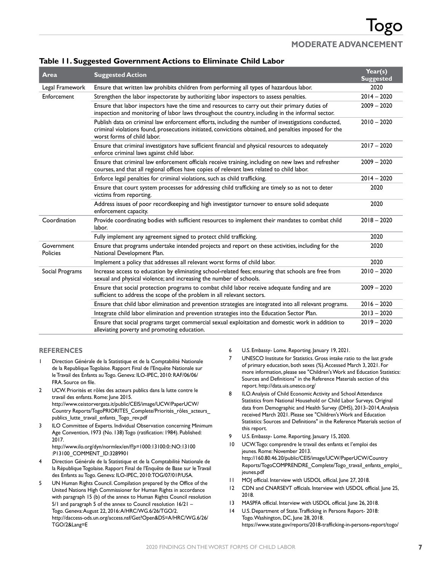|                        |                                                                                                                                                                                                                                              | Year(s)          |
|------------------------|----------------------------------------------------------------------------------------------------------------------------------------------------------------------------------------------------------------------------------------------|------------------|
| Area                   | <b>Suggested Action</b>                                                                                                                                                                                                                      | <b>Suggested</b> |
| Legal Framework        | Ensure that written law prohibits children from performing all types of hazardous labor.                                                                                                                                                     | 2020             |
| Enforcement            | Strengthen the labor inspectorate by authorizing labor inspectors to assess penalties.                                                                                                                                                       | $2014 - 2020$    |
|                        | Ensure that labor inspectors have the time and resources to carry out their primary duties of<br>inspection and monitoring of labor laws throughout the country, including in the informal sector.                                           | $2009 - 2020$    |
|                        | Publish data on criminal law enforcement efforts, including the number of investigations conducted,<br>criminal violations found, prosecutions initiated, convictions obtained, and penalties imposed for the<br>worst forms of child labor. | $2010 - 2020$    |
|                        | Ensure that criminal investigators have sufficient financial and physical resources to adequately<br>enforce criminal laws against child labor.                                                                                              | $2017 - 2020$    |
|                        | Ensure that criminal law enforcement officials receive training, including on new laws and refresher<br>courses, and that all regional offices have copies of relevant laws related to child labor.                                          | $2009 - 2020$    |
|                        | Enforce legal penalties for criminal violations, such as child trafficking.                                                                                                                                                                  | $2014 - 2020$    |
|                        | Ensure that court system processes for addressing child trafficking are timely so as not to deter<br>victims from reporting.                                                                                                                 | 2020             |
|                        | Address issues of poor recordkeeping and high investigator turnover to ensure solid adequate<br>enforcement capacity.                                                                                                                        | 2020             |
| Coordination           | Provide coordinating bodies with sufficient resources to implement their mandates to combat child<br>labor.                                                                                                                                  | $2018 - 2020$    |
|                        | Fully implement any agreement signed to protect child trafficking.                                                                                                                                                                           | 2020             |
| Government<br>Policies | Ensure that programs undertake intended projects and report on these activities, including for the<br>National Development Plan.                                                                                                             | 2020             |
|                        | Implement a policy that addresses all relevant worst forms of child labor.                                                                                                                                                                   | 2020             |
| Social Programs        | Increase access to education by eliminating school-related fees; ensuring that schools are free from<br>sexual and physical violence; and increasing the number of schools.                                                                  | $2010 - 2020$    |
|                        | Ensure that social protection programs to combat child labor receive adequate funding and are<br>sufficient to address the scope of the problem in all relevant sectors.                                                                     | $2009 - 2020$    |
|                        | Ensure that child labor elimination and prevention strategies are integrated into all relevant programs.                                                                                                                                     | $2016 - 2020$    |
|                        | Integrate child labor elimination and prevention strategies into the Education Sector Plan.                                                                                                                                                  | $2013 - 2020$    |
|                        | Ensure that social programs target commercial sexual exploitation and domestic work in addition to<br>alleviating poverty and promoting education.                                                                                           | $2019 - 2020$    |

### **Table 11. Suggested Government Actions to Eliminate Child Labor**

#### **REFERENCES**

- Direction Générale de la Statistique et de la Comptabilité Nationale de la Republique Togolaise. Rapport Final de l'Enquête Nationale sur le Travail des Enfants au Togo. Geneva: ILO-IPEC, 2010: RAF/06/06/ FRA. Source on file.
- 2 UCW. Priorités et rôles des acteurs publics dans la lutte contre le travail des enfants. Rome: June 2015. [http://www.ceistorvergata.it/public/CEIS/image/UCW/PaperUCW/](http://www.ceistorvergata.it/public/CEIS/image/UCW/PaperUCW/Country%20Reports/TogoPRIORITES_Complete/Priorit%C3%A9s_r%C3%B4les_acteurs_publics_lutte_travail_enfants_Togo_rev.pdf) Country Reports/TogoPRIORITES\_Complete/Priorités\_rôles\_acteurs publics lutte travail enfants Togo rev.pdf
- 3 ILO Committee of Experts. Individual Observation concerning Minimum Age Convention, 1973 (No. 138) Togo (ratification: 1984). Published: 2017. [http://www.ilo.org/dyn/normlex/en/f?p=1000:13100:0::NO:13100](http://www.ilo.org/dyn/normlex/en/f?p=1000:13100:0::NO:13100:P13100_COMMENT_ID:3289901)

[:P13100\\_COMMENT\\_ID:3289901](http://www.ilo.org/dyn/normlex/en/f?p=1000:13100:0::NO:13100:P13100_COMMENT_ID:3289901)

- 4 Direction Générale de la Statistique et de la Comptabilité Nationale de la République Togolaise. Rapport Final de l'Enquête de Base sur le Travail des Enfants au Togo. Geneva: ILO-IPEC, 2010: TOG/07/01P/USA.
- 5 UN Human Rights Council. Compilation prepared by the Office of the United Nations High Commissioner for Human Rights in accordance with paragraph 15 (b) of the annex to Human Rights Council resolution 5/1 and paragraph 5 of the annex to Council resolution 16/21 – Togo. Geneva: August 22, 2016: A/HRC/WG.6/26/TGO/2. [http://daccess-ods.un.org/access.nsf/Get?Open&DS=A/HRC/WG.6/26/](http://daccess-ods.un.org/access.nsf/Get?Open&DS=A/HRC/WG.6/26/TGO/2&Lang=E) [TGO/2&Lang=E](http://daccess-ods.un.org/access.nsf/Get?Open&DS=A/HRC/WG.6/26/TGO/2&Lang=E)
- 6 U.S. Embassy- Lome. Reporting. January 19, 2021.
- 7 UNESCO Institute for Statistics. Gross intake ratio to the last grade of primary education, both sexes (%). Accessed March 3, 2021. For more information, please see "Children's Work and Education Statistics: Sources and Definitions" in the Reference Materials section of this report.<http://data.uis.unesco.org/>
- 8 ILO. Analysis of Child Economic Activity and School Attendance Statistics from National Household or Child Labor Surveys. Original data from Demographic and Health Survey (DHS), 2013–2014, Analysis received March 2021. Please see "Children's Work and Education Statistics: Sources and Definitions" in the Reference Materials section of this report.
- 9 U.S. Embassy- Lome. Reporting. January 15, 2020.
- 10 UCW. Togo: comprendre le travail des enfants et l'emploi des jeunes. Rome: November 2013. [http://160.80.46.20/public/CEIS/image/UCW/PaperUCW/Country](http://160.80.46.20/public/CEIS/image/UCW/PaperUCW/Country%20Reports/TogoCOMPRENDRE_Complete/Togo_travail_enfants_emploi_jeunes.pdf)  [Reports/TogoCOMPRENDRE\\_Complete/Togo\\_travail\\_enfants\\_emploi\\_](http://160.80.46.20/public/CEIS/image/UCW/PaperUCW/Country%20Reports/TogoCOMPRENDRE_Complete/Togo_travail_enfants_emploi_jeunes.pdf) [jeunes.pdf](http://160.80.46.20/public/CEIS/image/UCW/PaperUCW/Country%20Reports/TogoCOMPRENDRE_Complete/Togo_travail_enfants_emploi_jeunes.pdf)
- 11 MOJ official. Interview with USDOL official. June 27, 2018.
- 12 CDN and CNARSEVT officials. Interview with USDOL official. June 25, 2018.
- 13 MASPFA official. Interview with USDOL official. June 26, 2018.
- 14 U.S. Department of State. Trafficking in Persons Report- 2018: Togo. Washington, DC, June 28, 2018. <https://www.state.gov/reports/2018-trafficking-in-persons-report/togo/>